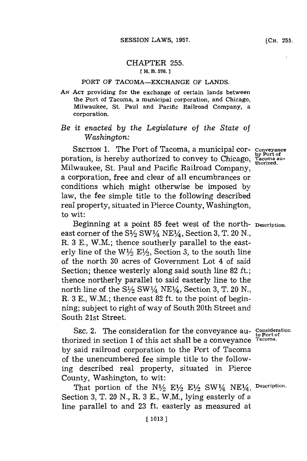## PORT OF **TACOMA-EXCHANGE** OF **LANDS.**

*AN ACT* providing for the exchange of certain lands between the Port of Tacoma, a municipal corporation, and Chicago, Milwaukee, St. Paul and Pacific Railroad Company, a corporation.

## *Be it enacted by the Legislature of the State of Washington:*

SECTION **1.** The Port of Tacoma, a municipal cor- **Conveyance** poration, is hereby authorized to convey to Chicago, Milwaukee, St. Paul and Pacific Railroad Company, a corporation, free and clear of all encumbrances or conditions which might otherwise be imposed by law, the fee simple title to the following described real property, situated in Pierce County, Washington, to wit:

Beginning at a point **85** feet west of the north- **Description.** east corner of the **S/2** SW1A4 **NE<sup>1</sup> 4,** Section **3,** T. 20 **N. ,** R. **3 E.,** W.M.; thence southerly parallel to the easterly line of the  $W\frac{1}{2}E\frac{1}{2}$ , Section 3, to the south line of the north **30** acres of Government Lot 4 of said Section; thence westerly along said south line **82 ft.;** thence northerly parallel to said easterly line to the north line of the  $S\frac{1}{2}SW\frac{1}{4}NE\frac{1}{4}$ , Section 3, T. 20 N., R. **3 E.,** W.M.; thence east **82** ft. to the point of beginning; subject to right of way of South 20th Street and South 21st Street.

**SEC.** 2. The consideration for the conveyance au- **Consideration to Port of** thorized in section 1 of this act shall be a conveyance **Tacoma. by** said railroad corporation to the Port of Tacoma of the unencumbered fee simple title to the following described real property, situated in Pierce County, Washington, to wit:

That portion of the  $N^{1/2}$   $E^{1/2}$   $E^{1/2}$   $SW^{1/4}$   $NE^{1/4}$ , Description. Section **3,** T. 20 **N.,** R. **3 E.,** W.M., lying easterly of a line parallel to and **23** ft. easterly as measured at

by Port of<br>Tacoma au-<br>thorized.